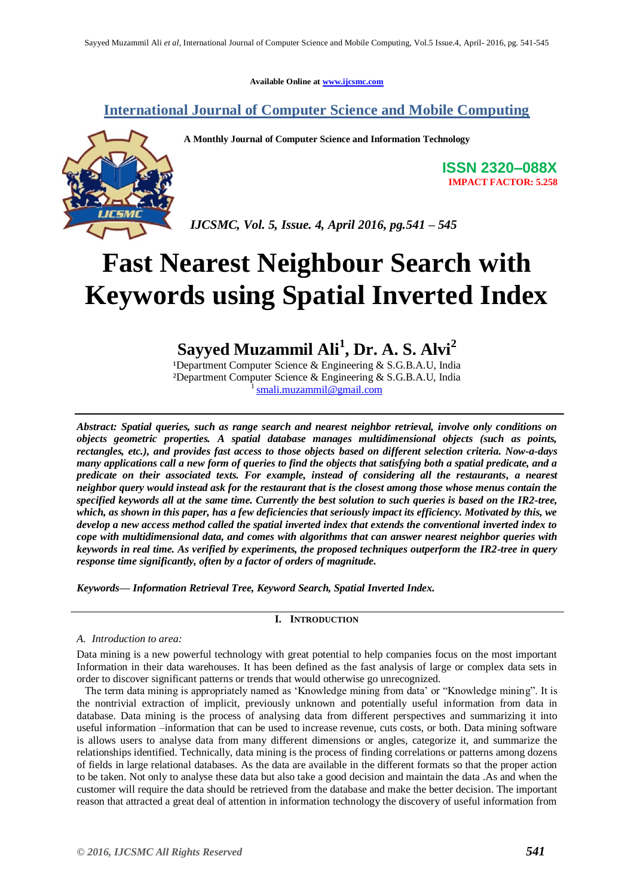**Available Online at www.ijcsmc.com**

### **International Journal of Computer Science and Mobile Computing**



**A Monthly Journal of Computer Science and Information Technology**

**ISSN 2320–088X IMPACT FACTOR: 5.258**

 *IJCSMC, Vol. 5, Issue. 4, April 2016, pg.541 – 545*

# **Fast Nearest Neighbour Search with Keywords using Spatial Inverted Index**

## **Sayyed Muzammil Ali<sup>1</sup> , Dr. A. S. Alvi<sup>2</sup>**

<sup>1</sup>Department Computer Science & Engineering & S.G.B.A.U, India ²Department Computer Science & Engineering & S.G.B.A.U, India 1 smali.muzammil@gmail.com

*Abstract: Spatial queries, such as range search and nearest neighbor retrieval, involve only conditions on objects geometric properties. A spatial database manages multidimensional objects (such as points, rectangles, etc.), and provides fast access to those objects based on different selection criteria. Now-a-days many applications call a new form of queries to find the objects that satisfying both a spatial predicate, and a predicate on their associated texts. For example, instead of considering all the restaurants, a nearest neighbor query would instead ask for the restaurant that is the closest among those whose menus contain the specified keywords all at the same time. Currently the best solution to such queries is based on the IR2-tree, which, as shown in this paper, has a few deficiencies that seriously impact its efficiency. Motivated by this, we develop a new access method called the spatial inverted index that extends the conventional inverted index to cope with multidimensional data, and comes with algorithms that can answer nearest neighbor queries with keywords in real time. As verified by experiments, the proposed techniques outperform the IR2-tree in query response time significantly, often by a factor of orders of magnitude.* 

*Keywords— Information Retrieval Tree, Keyword Search, Spatial Inverted Index.*

#### **I. INTRODUCTION**

#### *A. Introduction to area:*

Data mining is a new powerful technology with great potential to help companies focus on the most important Information in their data warehouses. It has been defined as the fast analysis of large or complex data sets in order to discover significant patterns or trends that would otherwise go unrecognized.

 The term data mining is appropriately named as "Knowledge mining from data" or "Knowledge mining". It is the nontrivial extraction of implicit, previously unknown and potentially useful information from data in database. Data mining is the process of analysing data from different perspectives and summarizing it into useful information –information that can be used to increase revenue, cuts costs, or both. Data mining software is allows users to analyse data from many different dimensions or angles, categorize it, and summarize the relationships identified. Technically, data mining is the process of finding correlations or patterns among dozens of fields in large relational databases. As the data are available in the different formats so that the proper action to be taken. Not only to analyse these data but also take a good decision and maintain the data .As and when the customer will require the data should be retrieved from the database and make the better decision. The important reason that attracted a great deal of attention in information technology the discovery of useful information from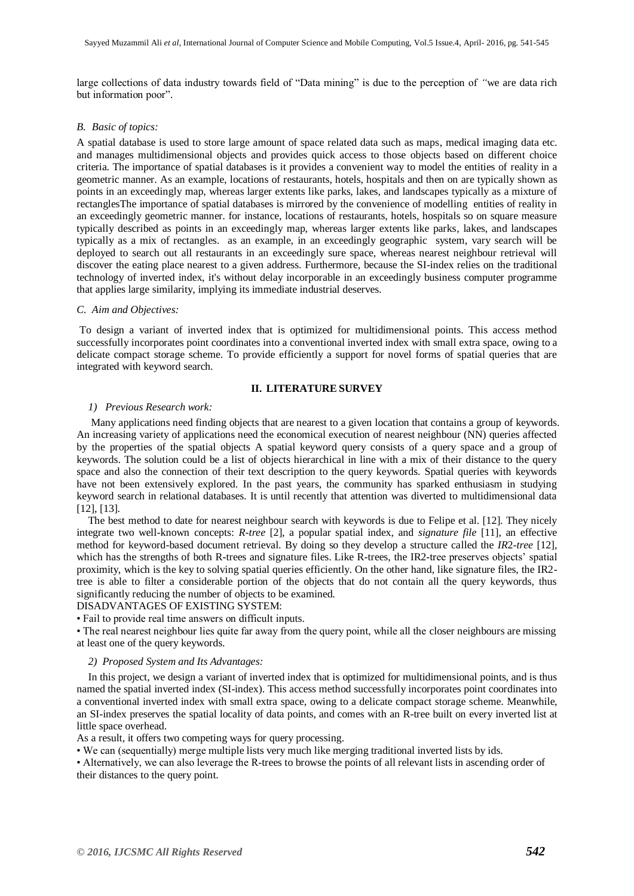large collections of data industry towards field of "Data mining" is due to the perception of *"*we are data rich but information poor".

#### *B. Basic of topics:*

A spatial database is used to store large amount of space related data such as maps, medical imaging data etc. and manages multidimensional objects and provides quick access to those objects based on different choice criteria. The importance of spatial databases is it provides a convenient way to model the entities of reality in a geometric manner. As an example, locations of restaurants, hotels, hospitals and then on are typically shown as points in an exceedingly map, whereas larger extents like parks, lakes, and landscapes typically as a mixture of rectanglesThe importance of spatial databases is mirrored by the convenience of modelling entities of reality in an exceedingly geometric manner. for instance, locations of restaurants, hotels, hospitals so on square measure typically described as points in an exceedingly map, whereas larger extents like parks, lakes, and landscapes typically as a mix of rectangles. as an example, in an exceedingly geographic system, vary search will be deployed to search out all restaurants in an exceedingly sure space, whereas nearest neighbour retrieval will discover the eating place nearest to a given address. Furthermore, because the SI-index relies on the traditional technology of inverted index, it's without delay incorporable in an exceedingly business computer programme that applies large similarity, implying its immediate industrial deserves.

#### *C. Aim and Objectives:*

To design a variant of inverted index that is optimized for multidimensional points. This access method successfully incorporates point coordinates into a conventional inverted index with small extra space, owing to a delicate compact storage scheme. To provide efficiently a support for novel forms of spatial queries that are integrated with keyword search.

#### **II. LITERATURE SURVEY**

#### *1) Previous Research work:*

Many applications need finding objects that are nearest to a given location that contains a group of keywords. An increasing variety of applications need the economical execution of nearest neighbour (NN) queries affected by the properties of the spatial objects A spatial keyword query consists of a query space and a group of keywords. The solution could be a list of objects hierarchical in line with a mix of their distance to the query space and also the connection of their text description to the query keywords. Spatial queries with keywords have not been extensively explored. In the past years, the community has sparked enthusiasm in studying keyword search in relational databases. It is until recently that attention was diverted to multidimensional data [12], [13].

The best method to date for nearest neighbour search with keywords is due to Felipe et al. [12]. They nicely integrate two well-known concepts: *R-tree* [2], a popular spatial index, and *signature file* [11], an effective method for keyword-based document retrieval. By doing so they develop a structure called the *IR*2*-tree* [12], which has the strengths of both R-trees and signature files. Like R-trees, the IR2-tree preserves objects' spatial proximity, which is the key to solving spatial queries efficiently. On the other hand, like signature files, the IR2 tree is able to filter a considerable portion of the objects that do not contain all the query keywords, thus significantly reducing the number of objects to be examined.

#### DISADVANTAGES OF EXISTING SYSTEM:

• Fail to provide real time answers on difficult inputs.

• The real nearest neighbour lies quite far away from the query point, while all the closer neighbours are missing at least one of the query keywords.

#### *2) Proposed System and Its Advantages:*

In this project, we design a variant of inverted index that is optimized for multidimensional points, and is thus named the spatial inverted index (SI-index). This access method successfully incorporates point coordinates into a conventional inverted index with small extra space, owing to a delicate compact storage scheme. Meanwhile, an SI-index preserves the spatial locality of data points, and comes with an R-tree built on every inverted list at little space overhead.

As a result, it offers two competing ways for query processing.

• We can (sequentially) merge multiple lists very much like merging traditional inverted lists by ids.

• Alternatively, we can also leverage the R-trees to browse the points of all relevant lists in ascending order of their distances to the query point.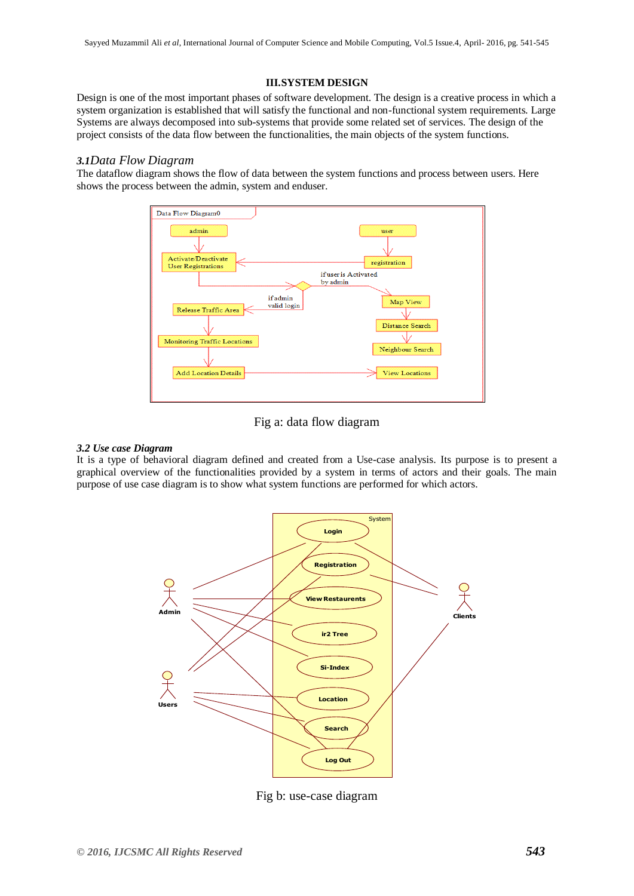#### **III.SYSTEM DESIGN**

Design is one of the most important phases of software development. The design is a creative process in which a system organization is established that will satisfy the functional and non-functional system requirements. Large Systems are always decomposed into sub-systems that provide some related set of services. The design of the project consists of the data flow between the functionalities, the main objects of the system functions.

#### *3.1Data Flow Diagram*

The dataflow diagram shows the flow of data between the system functions and process between users. Here shows the process between the admin, system and enduser.



Fig a: data flow diagram

#### *3.2 Use case Diagram*

It is a type of behavioral diagram defined and created from a Use-case analysis. Its purpose is to present a graphical overview of the functionalities provided by a system in terms of actors and their goals. The main purpose of use case diagram is to show what system functions are performed for which actors.



Fig b: use-case diagram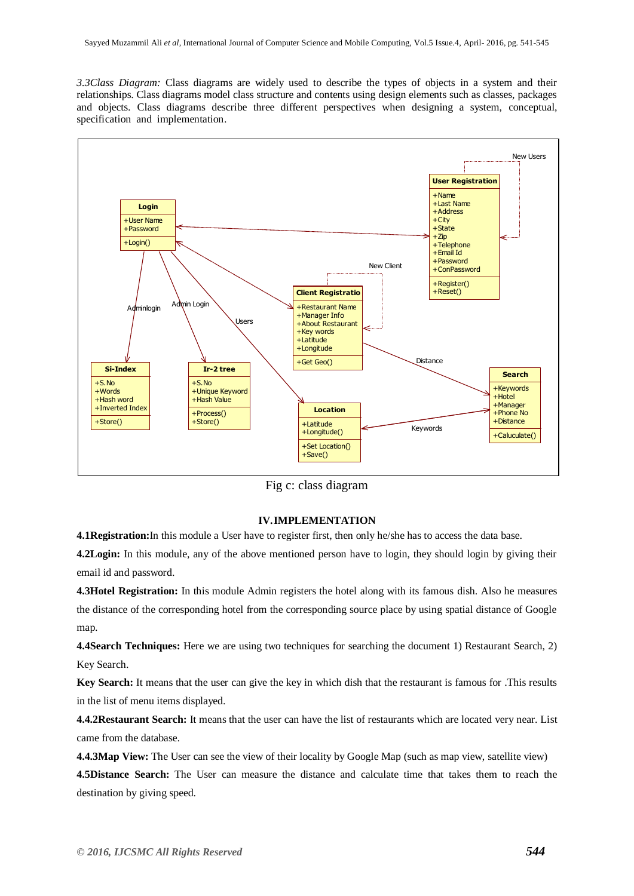*3.3Class Diagram:* Class diagrams are widely used to describe the types of objects in a system and their relationships. Class diagrams model class structure and contents using design elements such as classes, packages and objects. Class diagrams describe three different perspectives when designing a system, conceptual, specification and implementation.



Fig c: class diagram

#### **IV.IMPLEMENTATION**

**4.1Registration:**In this module a User have to register first, then only he/she has to access the data base.

**4.2Login:** In this module, any of the above mentioned person have to login, they should login by giving their email id and password.

**4.3Hotel Registration:** In this module Admin registers the hotel along with its famous dish. Also he measures the distance of the corresponding hotel from the corresponding source place by using spatial distance of Google map.

**4.4Search Techniques:** Here we are using two techniques for searching the document 1) Restaurant Search, 2) Key Search.

**Key Search:** It means that the user can give the key in which dish that the restaurant is famous for .This results in the list of menu items displayed.

**4.4.2Restaurant Search:** It means that the user can have the list of restaurants which are located very near. List came from the database.

**4.4.3Map View:** The User can see the view of their locality by Google Map (such as map view, satellite view)

**4.5Distance Search:** The User can measure the distance and calculate time that takes them to reach the destination by giving speed.